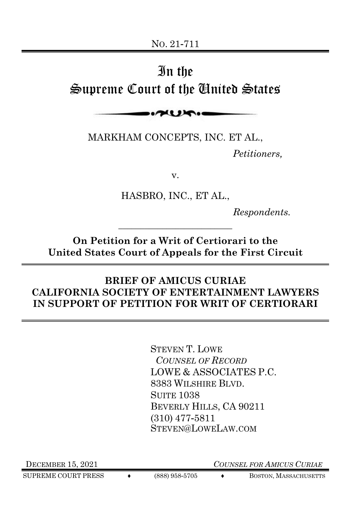# In the Supreme Court of the United States

 $\sim$ 

MARKHAM CONCEPTS, INC. ET AL.,

*Petitioners,*

v.

HASBRO, INC., ET AL.,

*Respondents.*

**On Petition for a Writ of Certiorari to the United States Court of Appeals for the First Circuit**

\_\_\_\_\_\_\_\_\_\_\_\_\_\_\_\_\_\_\_\_\_\_\_\_\_\_

### **BRIEF OF AMICUS CURIAE CALIFORNIA SOCIETY OF ENTERTAINMENT LAWYERS IN SUPPORT OF PETITION FOR WRIT OF CERTIORARI**

STEVEN T. LOWE *COUNSEL OF RECORD*  LOWE & ASSOCIATES P.C. 8383 WILSHIRE BLVD. SUITE 1038 BEVERLY HILLS, CA 90211 (310) 477-5811 STEVEN@LOWELAW.COM

SUPREME COURT PRESS  $\longleftrightarrow$  (888) 958-5705  $\longleftrightarrow$  BOSTON, MASSACHUSETTS

DECEMBER 15, 2021 *COUNSEL FOR AMICUS CURIAE*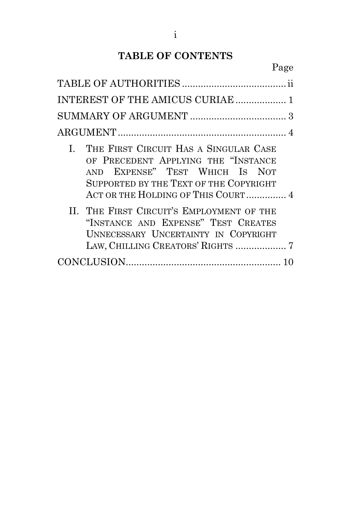# **TABLE OF CONTENTS**

| INTEREST OF THE AMICUS CURIAE  1                                                                                                                                                                  |  |
|---------------------------------------------------------------------------------------------------------------------------------------------------------------------------------------------------|--|
|                                                                                                                                                                                                   |  |
|                                                                                                                                                                                                   |  |
| I. THE FIRST CIRCUIT HAS A SINGULAR CASE<br>OF PRECEDENT APPLYING THE "INSTANCE<br>AND EXPENSE" TEST WHICH IS NOT<br>SUPPORTED BY THE TEXT OF THE COPYRIGHT<br>ACT OR THE HOLDING OF THIS COURT 4 |  |
| II. THE FIRST CIRCUIT'S EMPLOYMENT OF THE<br>"INSTANCE AND EXPENSE" TEST CREATES<br>UNNECESSARY UNCERTAINTY IN COPYRIGHT                                                                          |  |
|                                                                                                                                                                                                   |  |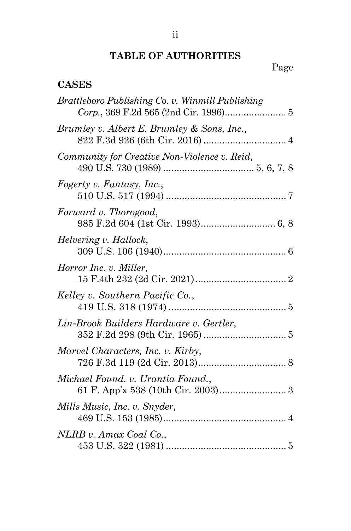# **TABLE OF AUTHORITIES**

### Page

### <span id="page-2-0"></span>**CASES**

| Brattleboro Publishing Co. v. Winmill Publishing |
|--------------------------------------------------|
| Brumley v. Albert E. Brumley & Sons, Inc.,       |
| Community for Creative Non-Violence v. Reid,     |
| Fogerty v. Fantasy, Inc.,                        |
| Forward v. Thorogood,                            |
| Helvering v. Hallock,                            |
| Horror Inc. v. Miller,                           |
| Kelley v. Southern Pacific Co.,                  |
| Lin-Brook Builders Hardware v. Gertler,          |
| Marvel Characters, Inc. v. Kirby,                |
| Michael Found. v. Urantia Found.,                |
| Mills Music, Inc. v. Snyder,                     |
| NLRB v. Amax Coal Co.,                           |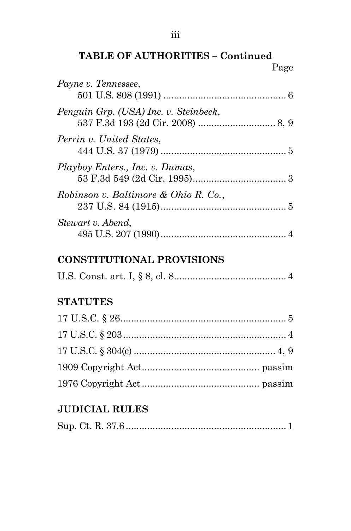**TABLE OF AUTHORITIES – Continued** Page

| Payne v. Tennessee,                   |  |
|---------------------------------------|--|
| Penguin Grp. (USA) Inc. v. Steinbeck, |  |
| Perrin v. United States,              |  |
| Playboy Enters., Inc. v. Dumas,       |  |
| Robinson v. Baltimore & Ohio R. Co.,  |  |
| Stewart v. Abend,                     |  |

### **CONSTITUTIONAL PROVISIONS**

|--|--|--|--|--|--|--|--|

# **STATUTES**

# **JUDICIAL RULES**

|--|--|--|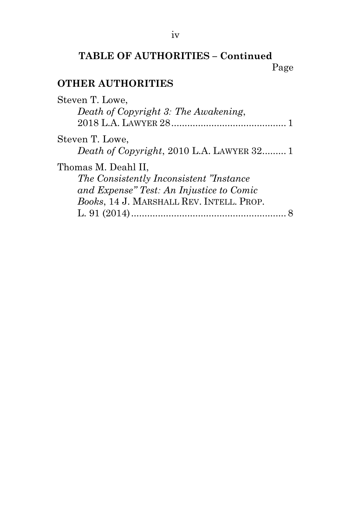### **TABLE OF AUTHORITIES – Continued** Page

### **OTHER AUTHORITIES**

| Steven T. Lowe,                           |
|-------------------------------------------|
| Death of Copyright 3: The Awakening,      |
|                                           |
| Steven T. Lowe,                           |
| Death of Copyright, 2010 L.A. LAWYER 32 1 |
| Thomas M. Deahl II,                       |
| The Consistently Inconsistent "Instance"  |
| and Expense" Test: An Injustice to Comic  |
| Books, 14 J. MARSHALL REV. INTELL. PROP.  |
|                                           |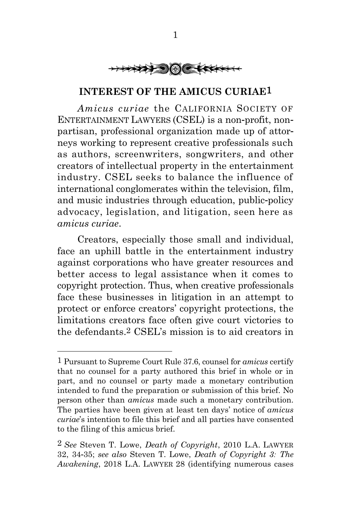

#### **INTEREST OF THE AMICUS CURIAE**1

<span id="page-5-0"></span>*Amicus curiae* the CALIFORNIA SOCIETY OF ENTERTAINMENT LAWYERS (CSEL) is a non-profit, nonpartisan, professional organization made up of attorneys working to represent creative professionals such as authors, screenwriters, songwriters, and other creators of intellectual property in the entertainment industry. CSEL seeks to balance the influence of international conglomerates within the television, film, and music industries through education, public-policy advocacy, legislation, and litigation, seen here as *amicus curiae*.

Creators, especially those small and individual, face an uphill battle in the entertainment industry against corporations who have greater resources and better access to legal assistance when it comes to copyright protection. Thus, when creative professionals face these businesses in litigation in an attempt to protect or enforce creators' copyright protections, the limitations creators face often give court victories to the defendants.2 CSEL's mission is to aid creators in

<sup>1</sup> Pursuant to Supreme Court Rule 37.6, counsel for *amicus* certify that no counsel for a party authored this brief in whole or in part, and no counsel or party made a monetary contribution intended to fund the preparation or submission of this brief. No person other than *amicus* made such a monetary contribution. The parties have been given at least ten days' notice of *amicus curiae*'s intention to file this brief and all parties have consented to the filing of this amicus brief.

<sup>2</sup> *See* Steven T. Lowe, *Death of Copyright*, 2010 L.A. LAWYER 32, 34-35; *see also* Steven T. Lowe, *Death of Copyright 3: The Awakening*, 2018 L.A. LAWYER 28 (identifying numerous cases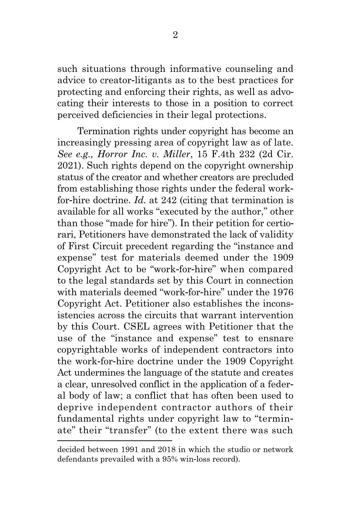such situations through informative counseling and advice to creator-litigants as to the best practices for protecting and enforcing their rights, as well as advocating their interests to those in a position to correct perceived deficiencies in their legal protections.

Termination rights under copyright has become an increasingly pressing area of copyright law as of late. *See e.g., Horror Inc. v. Miller*, 15 F.4th 232 (2d Cir. 2021). Such rights depend on the copyright ownership status of the creator and whether creators are precluded from establishing those rights under the federal workfor-hire doctrine. *Id*. at 242 (citing that termination is available for all works "executed by the author," other than those "made for hire"). In their petition for certiorari, Petitioners have demonstrated the lack of validity of First Circuit precedent regarding the "instance and expense" test for materials deemed under the 1909 Copyright Act to be "work-for-hire" when compared to the legal standards set by this Court in connection with materials deemed "work-for-hire" under the 1976 Copyright Act. Petitioner also establishes the inconsistencies across the circuits that warrant intervention by this Court. CSEL agrees with Petitioner that the use of the "instance and expense" test to ensnare copyrightable works of independent contractors into the work-for-hire doctrine under the 1909 Copyright Act undermines the language of the statute and creates a clear, unresolved conflict in the application of a federal body of law; a conflict that has often been used to deprive independent contractor authors of their fundamental rights under copyright law to "terminate" their "transfer" (to the extent there was such

decided between 1991 and 2018 in which the studio or network defendants prevailed with a 95% win-loss record).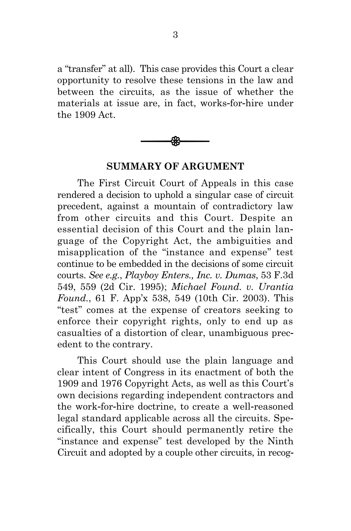a "transfer" at all). This case provides this Court a clear opportunity to resolve these tensions in the law and between the circuits, as the issue of whether the materials at issue are, in fact, works-for-hire under the 1909 Act.



#### **SUMMARY OF ARGUMENT**

<span id="page-7-0"></span>The First Circuit Court of Appeals in this case rendered a decision to uphold a singular case of circuit precedent, against a mountain of contradictory law from other circuits and this Court. Despite an essential decision of this Court and the plain language of the Copyright Act, the ambiguities and misapplication of the "instance and expense" test continue to be embedded in the decisions of some circuit courts. *See e.g.*, *Playboy Enters., Inc. v. Dumas*, 53 F.3d 549, 559 (2d Cir. 1995); *Michael Found. v. Urantia Found.*, 61 F. App'x 538, 549 (10th Cir. 2003). This "test" comes at the expense of creators seeking to enforce their copyright rights, only to end up as casualties of a distortion of clear, unambiguous precedent to the contrary.

This Court should use the plain language and clear intent of Congress in its enactment of both the 1909 and 1976 Copyright Acts, as well as this Court's own decisions regarding independent contractors and the work-for-hire doctrine, to create a well-reasoned legal standard applicable across all the circuits. Specifically, this Court should permanently retire the "instance and expense" test developed by the Ninth Circuit and adopted by a couple other circuits, in recog-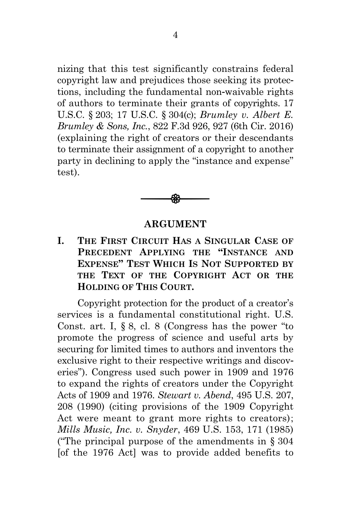nizing that this test significantly constrains federal copyright law and prejudices those seeking its protections, including the fundamental non-waivable rights of authors to terminate their grants of copyrights. 17 U.S.C. § 203; 17 U.S.C. § 304(c); *Brumley v. Albert E. Brumley & Sons, Inc.*, 822 F.3d 926, 927 (6th Cir. 2016) (explaining the right of creators or their descendants to terminate their assignment of a copyright to another party in declining to apply the "instance and expense" test).



#### **ARGUMENT**

<span id="page-8-1"></span><span id="page-8-0"></span>**I. THE FIRST CIRCUIT HAS A SINGULAR CASE OF PRECEDENT APPLYING THE "INSTANCE AND EXPENSE" TEST WHICH IS NOT SUPPORTED BY THE TEXT OF THE COPYRIGHT ACT OR THE HOLDING OF THIS COURT.**

Copyright protection for the product of a creator's services is a fundamental constitutional right. U.S. Const. art. I, § 8, cl. 8 (Congress has the power "to promote the progress of science and useful arts by securing for limited times to authors and inventors the exclusive right to their respective writings and discoveries"). Congress used such power in 1909 and 1976 to expand the rights of creators under the Copyright Acts of 1909 and 1976. *Stewart v. Abend*, 495 U.S. 207, 208 (1990) (citing provisions of the 1909 Copyright Act were meant to grant more rights to creators); *Mills Music, Inc. v. Snyder*, 469 U.S. 153, 171 (1985) ("The principal purpose of the amendments in  $\S 304$ [of the 1976 Act] was to provide added benefits to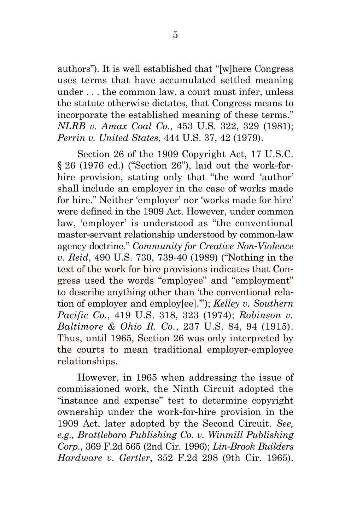authors"). It is well established that "[w]here Congress uses terms that have accumulated settled meaning under . . . the common law, a court must infer, unless the statute otherwise dictates, that Congress means to incorporate the established meaning of these terms." *NLRB v. Amax Coal Co.*, 453 U.S. 322, 329 (1981); *Perrin v. United States*, 444 U.S. 37, 42 (1979).

Section 26 of the 1909 Copyright Act, 17 U.S.C. § 26 (1976 ed.) ("Section 26"), laid out the work-forhire provision, stating only that "the word 'author' shall include an employer in the case of works made for hire." Neither 'employer' nor 'works made for hire' were defined in the 1909 Act. However, under common law, 'employer' is understood as "the conventional master-servant relationship understood by common-law agency doctrine." *Community for Creative Non-Violence v. Reid*, 490 U.S. 730, 739-40 (1989) ("Nothing in the text of the work for hire provisions indicates that Congress used the words "employee" and "employment" to describe anything other than 'the conventional relation of employer and employ[ee].'"); *Kelley v. Southern Pacific Co.*, 419 U.S. 318, 323 (1974); *Robinson v. Baltimore & Ohio R. Co.*, 237 U.S. 84, 94 (1915). Thus, until 1965, Section 26 was only interpreted by the courts to mean traditional employer-employee relationships.

However, in 1965 when addressing the issue of commissioned work, the Ninth Circuit adopted the "instance and expense" test to determine copyright ownership under the work-for-hire provision in the 1909 Act, later adopted by the Second Circuit. *See, e.g., Brattleboro Publishing Co. v. Winmill Publishing Corp.*, 369 F.2d 565 (2nd Cir. 1996); *Lin-Brook Builders Hardware v. Gertler*, 352 F.2d 298 (9th Cir. 1965).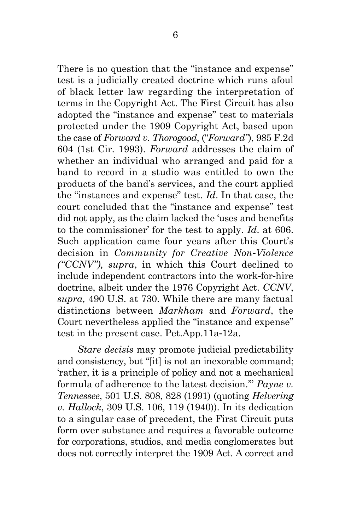There is no question that the "instance and expense" test is a judicially created doctrine which runs afoul of black letter law regarding the interpretation of terms in the Copyright Act. The First Circuit has also adopted the "instance and expense" test to materials protected under the 1909 Copyright Act, based upon the case of *Forward v. Thorogood*, ("*Forward"*), 985 F.2d 604 (1st Cir. 1993). *Forward* addresses the claim of whether an individual who arranged and paid for a band to record in a studio was entitled to own the products of the band's services, and the court applied the "instances and expense" test. *Id*. In that case, the court concluded that the "instance and expense" test did not apply, as the claim lacked the 'uses and benefits to the commissioner' for the test to apply. *Id*. at 606. Such application came four years after this Court's decision in *Community for Creative Non-Violence ("CCNV"), supra*, in which this Court declined to include independent contractors into the work-for-hire doctrine, albeit under the 1976 Copyright Act. *CCNV*, *supra,* 490 U.S. at 730. While there are many factual distinctions between *Markham* and *Forward*, the Court nevertheless applied the "instance and expense" test in the present case. Pet.App.11a-12a.

*Stare decisis* may promote judicial predictability and consistency, but "[it] is not an inexorable command; 'rather, it is a principle of policy and not a mechanical formula of adherence to the latest decision.'" *Payne v. Tennessee*, 501 U.S. 808, 828 (1991) (quoting *Helvering v. Hallock*, 309 U.S. 106, 119 (1940)). In its dedication to a singular case of precedent, the First Circuit puts form over substance and requires a favorable outcome for corporations, studios, and media conglomerates but does not correctly interpret the 1909 Act. A correct and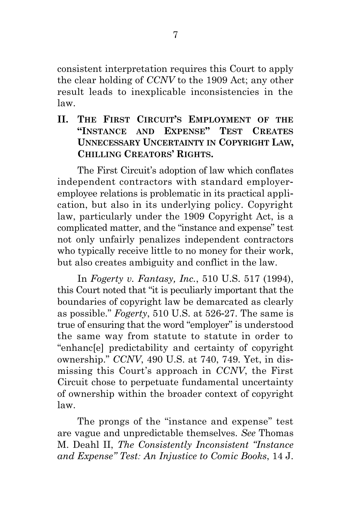consistent interpretation requires this Court to apply the clear holding of *CCNV* to the 1909 Act; any other result leads to inexplicable inconsistencies in the law.

#### <span id="page-11-0"></span>**II. THE FIRST CIRCUIT'S EMPLOYMENT OF THE "INSTANCE AND EXPENSE" TEST CREATES UNNECESSARY UNCERTAINTY IN COPYRIGHT LAW, CHILLING CREATORS' RIGHTS.**

The First Circuit's adoption of law which conflates independent contractors with standard employeremployee relations is problematic in its practical application, but also in its underlying policy. Copyright law, particularly under the 1909 Copyright Act, is a complicated matter, and the "instance and expense" test not only unfairly penalizes independent contractors who typically receive little to no money for their work, but also creates ambiguity and conflict in the law.

In *Fogerty v. Fantasy, Inc.*, 510 U.S. 517 (1994), this Court noted that "it is peculiarly important that the boundaries of copyright law be demarcated as clearly as possible." *Fogerty*, 510 U.S. at 526-27. The same is true of ensuring that the word "employer" is understood the same way from statute to statute in order to "enhanc[e] predictability and certainty of copyright ownership." *CCNV*, 490 U.S. at 740, 749. Yet, in dismissing this Court's approach in *CCNV*, the First Circuit chose to perpetuate fundamental uncertainty of ownership within the broader context of copyright law.

The prongs of the "instance and expense" test are vague and unpredictable themselves. *See* Thomas M. Deahl II, *The Consistently Inconsistent "Instance and Expense" Test: An Injustice to Comic Books*, 14 J.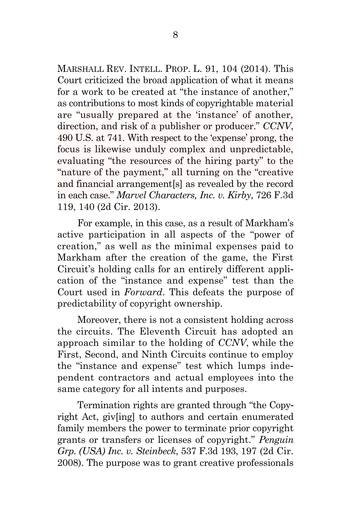MARSHALL REV. INTELL. PROP. L. 91, 104 (2014). This Court criticized the broad application of what it means for a work to be created at "the instance of another," as contributions to most kinds of copyrightable material are "usually prepared at the 'instance' of another, direction, and risk of a publisher or producer." *CCNV*, 490 U.S. at 741. With respect to the 'expense' prong, the focus is likewise unduly complex and unpredictable, evaluating "the resources of the hiring party" to the "nature of the payment," all turning on the "creative and financial arrangement[s] as revealed by the record in each case." *Marvel Characters, Inc. v. Kirby*, 726 F.3d 119, 140 (2d Cir. 2013).

For example, in this case, as a result of Markham's active participation in all aspects of the "power of creation," as well as the minimal expenses paid to Markham after the creation of the game, the First Circuit's holding calls for an entirely different application of the "instance and expense" test than the Court used in *Forward*. This defeats the purpose of predictability of copyright ownership.

Moreover, there is not a consistent holding across the circuits. The Eleventh Circuit has adopted an approach similar to the holding of *CCNV*, while the First, Second, and Ninth Circuits continue to employ the "instance and expense" test which lumps independent contractors and actual employees into the same category for all intents and purposes.

Termination rights are granted through "the Copyright Act, giv[ing] to authors and certain enumerated family members the power to terminate prior copyright grants or transfers or licenses of copyright." *Penguin Grp. (USA) Inc. v. Steinbeck*, 537 F.3d 193, 197 (2d Cir. 2008). The purpose was to grant creative professionals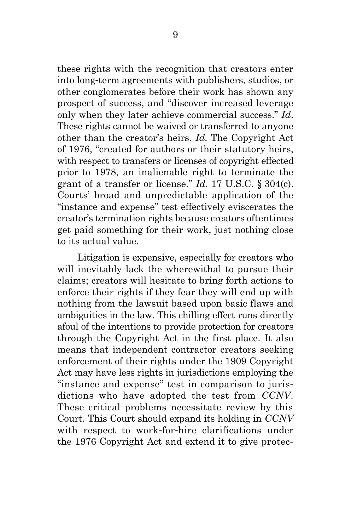these rights with the recognition that creators enter into long-term agreements with publishers, studios, or other conglomerates before their work has shown any prospect of success, and "discover increased leverage only when they later achieve commercial success." *Id*. These rights cannot be waived or transferred to anyone other than the creator's heirs. *Id.* The Copyright Act of 1976, "created for authors or their statutory heirs, with respect to transfers or licenses of copyright effected prior to 1978, an inalienable right to terminate the grant of a transfer or license." *Id.* 17 U.S.C. § 304(c). Courts' broad and unpredictable application of the "instance and expense" test effectively eviscerates the creator's termination rights because creators oftentimes get paid something for their work, just nothing close to its actual value.

Litigation is expensive, especially for creators who will inevitably lack the wherewithal to pursue their claims; creators will hesitate to bring forth actions to enforce their rights if they fear they will end up with nothing from the lawsuit based upon basic flaws and ambiguities in the law. This chilling effect runs directly afoul of the intentions to provide protection for creators through the Copyright Act in the first place. It also means that independent contractor creators seeking enforcement of their rights under the 1909 Copyright Act may have less rights in jurisdictions employing the "instance and expense" test in comparison to jurisdictions who have adopted the test from *CCNV*. These critical problems necessitate review by this Court. This Court should expand its holding in *CCNV*  with respect to work-for-hire clarifications under the 1976 Copyright Act and extend it to give protec